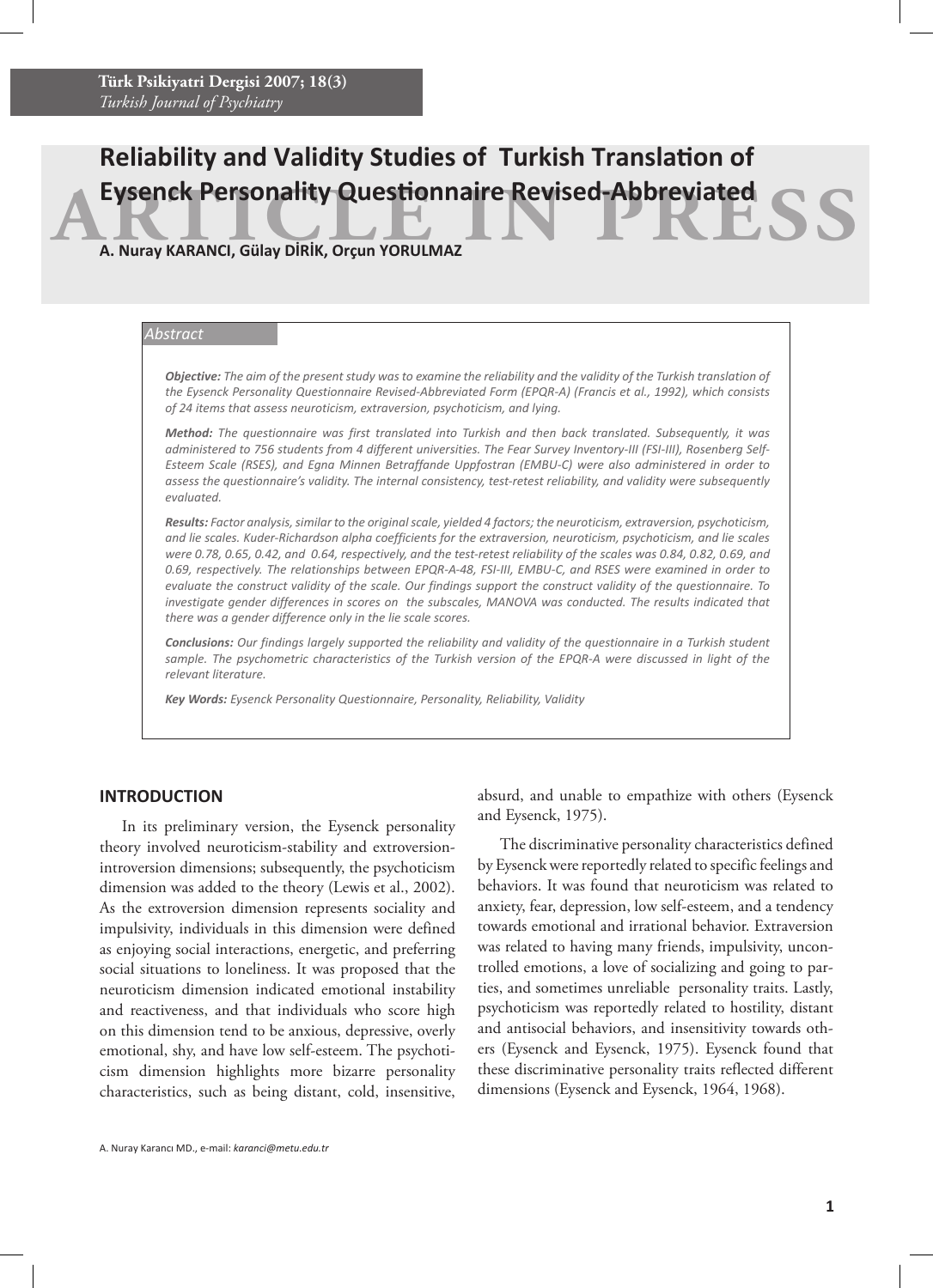# **ARTICLE IN PERSONALITY QUESTION NATION CONTROLLER AND SOLUTION A. Nuray KARANCI, Gülay DIRIK, Orçun YORULMAZ Reliability and Validity Studies of Turkish Translation of**

**A. Nuray KARANCI, Gülay DİRİK, Orçun YORULMAZ**

## *Abstract*

*Objective: The aim of the present study was to examine the reliability and the validity of the Turkish translation of the Eysenck Personality Questionnaire Revised-Abbreviated Form (EPQR-A) (Francis et al., 1992), which consists of 24 items that assess neuroticism, extraversion, psychoticism, and lying.* 

*Method: The questionnaire was first translated into Turkish and then back translated. Subsequently, it was administered to 756 students from 4 different universities. The Fear Survey Inventory-III (FSI-III), Rosenberg Self-Esteem Scale (RSES), and Egna Minnen Betraffande Uppfostran (EMBU-C) were also administered in order to assess the questionnaire's validity. The internal consistency, test-retest reliability, and validity were subsequently evaluated.* 

*Results: Factor analysis, similar to the original scale, yielded 4 factors; the neuroticism, extraversion, psychoticism, and lie scales. Kuder-Richardson alpha coefficients for the extraversion, neuroticism, psychoticism, and lie scales were 0.78, 0.65, 0.42, and 0.64, respectively, and the test-retest reliability of the scales was 0.84, 0.82, 0.69, and 0.69, respectively. The relationships between EPQR-A-48, FSI-III, EMBU-C, and RSES were examined in order to evaluate the construct validity of the scale. Our findings support the construct validity of the questionnaire. To investigate gender differences in scores on the subscales, MANOVA was conducted. The results indicated that there was a gender difference only in the lie scale scores.*

*Conclusions: Our findings largely supported the reliability and validity of the questionnaire in a Turkish student*  sample. The psychometric characteristics of the Turkish version of the EPQR-A were discussed in light of the *relevant literature.*

*Key Words: Eysenck Personality Questionnaire, Personality, Reliability, Validity*

## **INTRODUCTION**

In its preliminary version, the Eysenck personality theory involved neuroticism-stability and extroversionintroversion dimensions; subsequently, the psychoticism dimension was added to the theory (Lewis et al., 2002). As the extroversion dimension represents sociality and impulsivity, individuals in this dimension were defined as enjoying social interactions, energetic, and preferring social situations to loneliness. It was proposed that the neuroticism dimension indicated emotional instability and reactiveness, and that individuals who score high on this dimension tend to be anxious, depressive, overly emotional, shy, and have low self-esteem. The psychoticism dimension highlights more bizarre personality characteristics, such as being distant, cold, insensitive, absurd, and unable to empathize with others (Eysenck and Eysenck, 1975).

The discriminative personality characteristics defined by Eysenck were reportedly related to specific feelings and behaviors. It was found that neuroticism was related to anxiety, fear, depression, low self-esteem, and a tendency towards emotional and irrational behavior. Extraversion was related to having many friends, impulsivity, uncontrolled emotions, a love of socializing and going to parties, and sometimes unreliable personality traits. Lastly, psychoticism was reportedly related to hostility, distant and antisocial behaviors, and insensitivity towards others (Eysenck and Eysenck, 1975). Eysenck found that these discriminative personality traits reflected different dimensions (Eysenck and Eysenck, 1964, 1968).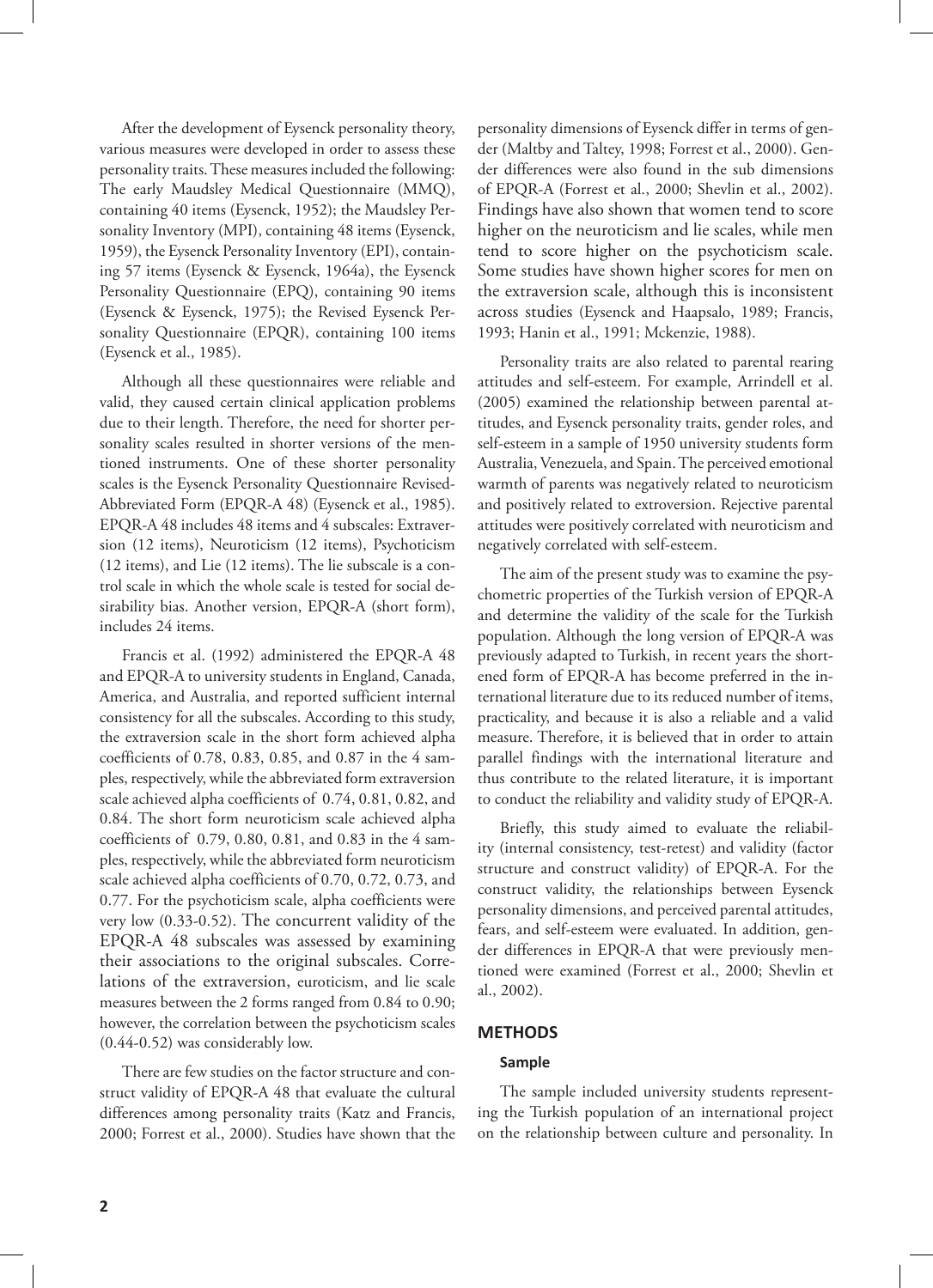After the development of Eysenck personality theory, various measures were developed in order to assess these personality traits. These measures included the following: The early Maudsley Medical Questionnaire (MMQ), containing 40 items (Eysenck, 1952); the Maudsley Personality Inventory (MPI), containing 48 items (Eysenck, 1959), the Eysenck Personality Inventory (EPI), containing 57 items (Eysenck & Eysenck, 1964a), the Eysenck Personality Questionnaire (EPQ), containing 90 items (Eysenck & Eysenck, 1975); the Revised Eysenck Personality Questionnaire (EPQR), containing 100 items (Eysenck et al., 1985).

Although all these questionnaires were reliable and valid, they caused certain clinical application problems due to their length. Therefore, the need for shorter personality scales resulted in shorter versions of the mentioned instruments. One of these shorter personality scales is the Eysenck Personality Questionnaire Revised-Abbreviated Form (EPQR-A 48) (Eysenck et al., 1985). EPQR-A 48 includes 48 items and 4 subscales: Extraversion (12 items), Neuroticism (12 items), Psychoticism (12 items), and Lie (12 items). The lie subscale is a control scale in which the whole scale is tested for social desirability bias. Another version, EPQR-A (short form), includes 24 items.

Francis et al. (1992) administered the EPQR-A 48 and EPQR-A to university students in England, Canada, America, and Australia, and reported sufficient internal consistency for all the subscales. According to this study, the extraversion scale in the short form achieved alpha coefficients of 0.78, 0.83, 0.85, and 0.87 in the 4 samples, respectively, while the abbreviated form extraversion scale achieved alpha coefficients of 0.74, 0.81, 0.82, and 0.84. The short form neuroticism scale achieved alpha coefficients of 0.79, 0.80, 0.81, and 0.83 in the 4 samples, respectively, while the abbreviated form neuroticism scale achieved alpha coefficients of 0.70, 0.72, 0.73, and 0.77. For the psychoticism scale, alpha coefficients were very low (0.33-0.52). The concurrent validity of the EPQR-A 48 subscales was assessed by examining their associations to the original subscales. Correlations of the extraversion, euroticism, and lie scale measures between the 2 forms ranged from 0.84 to 0.90; however, the correlation between the psychoticism scales (0.44-0.52) was considerably low.

There are few studies on the factor structure and construct validity of EPQR-A 48 that evaluate the cultural differences among personality traits (Katz and Francis, 2000; Forrest et al., 2000). Studies have shown that the

personality dimensions of Eysenck differ in terms of gender (Maltby and Taltey, 1998; Forrest et al., 2000). Gender differences were also found in the sub dimensions of EPQR-A (Forrest et al., 2000; Shevlin et al., 2002). Findings have also shown that women tend to score higher on the neuroticism and lie scales, while men tend to score higher on the psychoticism scale. Some studies have shown higher scores for men on the extraversion scale, although this is inconsistent across studies (Eysenck and Haapsalo, 1989; Francis, 1993; Hanin et al., 1991; Mckenzie, 1988).

Personality traits are also related to parental rearing attitudes and self-esteem. For example, Arrindell et al. (2005) examined the relationship between parental attitudes, and Eysenck personality traits, gender roles, and self-esteem in a sample of 1950 university students form Australia, Venezuela, and Spain. The perceived emotional warmth of parents was negatively related to neuroticism and positively related to extroversion. Rejective parental attitudes were positively correlated with neuroticism and negatively correlated with self-esteem.

The aim of the present study was to examine the psychometric properties of the Turkish version of EPQR-A and determine the validity of the scale for the Turkish population. Although the long version of EPQR-A was previously adapted to Turkish, in recent years the shortened form of EPQR-A has become preferred in the international literature due to its reduced number of items, practicality, and because it is also a reliable and a valid measure. Therefore, it is believed that in order to attain parallel findings with the international literature and thus contribute to the related literature, it is important to conduct the reliability and validity study of EPQR-A.

Briefly, this study aimed to evaluate the reliability (internal consistency, test-retest) and validity (factor structure and construct validity) of EPQR-A. For the construct validity, the relationships between Eysenck personality dimensions, and perceived parental attitudes, fears, and self-esteem were evaluated. In addition, gender differences in EPQR-A that were previously mentioned were examined (Forrest et al., 2000; Shevlin et al., 2002).

## **METHODS**

#### **Sample**

The sample included university students representing the Turkish population of an international project on the relationship between culture and personality. In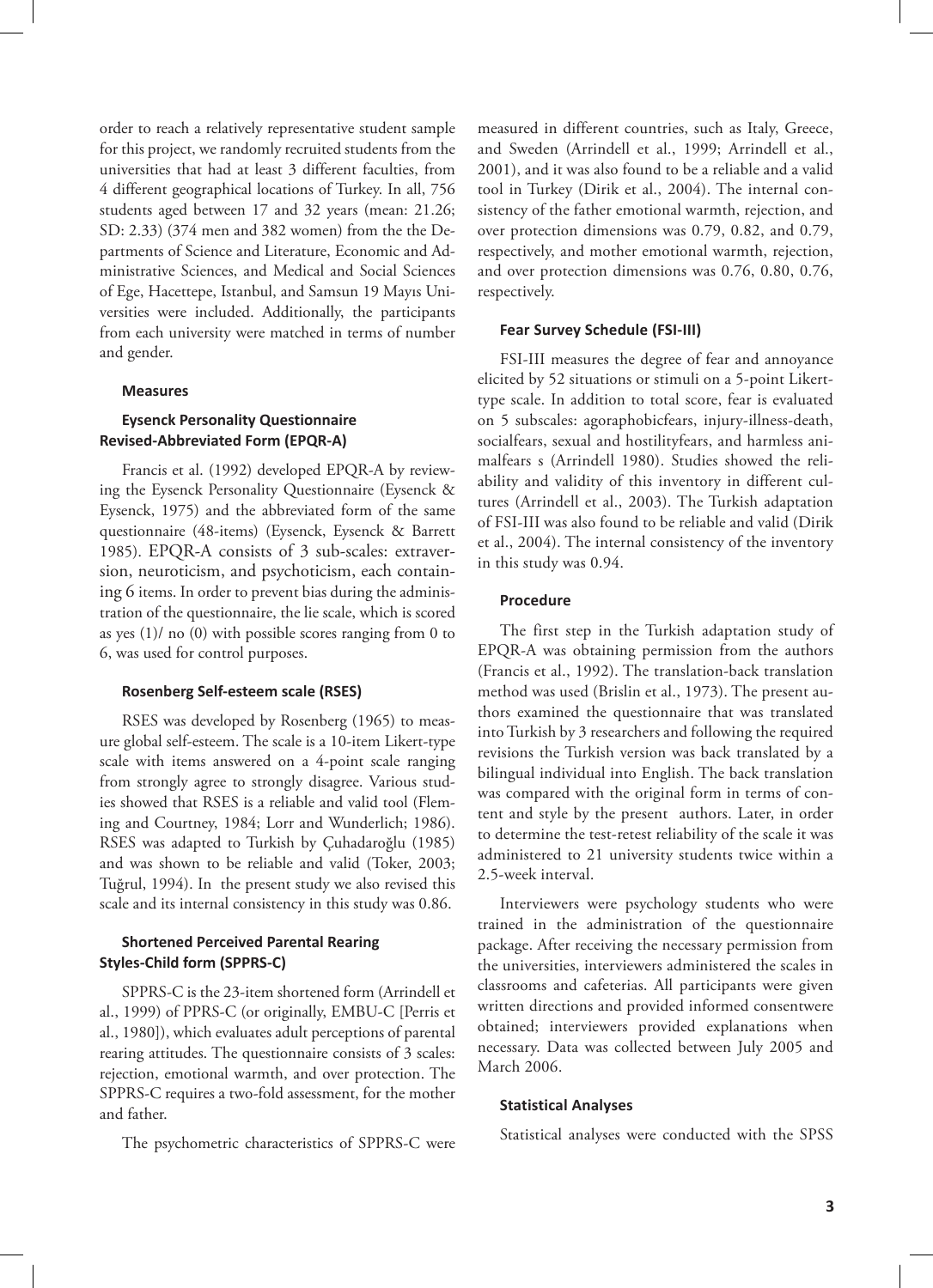order to reach a relatively representative student sample for this project, we randomly recruited students from the universities that had at least 3 different faculties, from 4 different geographical locations of Turkey. In all, 756 students aged between 17 and 32 years (mean: 21.26; SD: 2.33) (374 men and 382 women) from the the Departments of Science and Literature, Economic and Administrative Sciences, and Medical and Social Sciences of Ege, Hacettepe, Istanbul, and Samsun 19 Mayıs Universities were included. Additionally, the participants from each university were matched in terms of number and gender.

## **Measures**

## **Eysenck Personality Questionnaire Revised-Abbreviated Form (EPQR-A)**

Francis et al. (1992) developed EPQR-A by reviewing the Eysenck Personality Questionnaire (Eysenck & Eysenck, 1975) and the abbreviated form of the same questionnaire (48-items) (Eysenck, Eysenck & Barrett 1985). EPQR-A consists of 3 sub-scales: extraversion, neuroticism, and psychoticism, each containing 6 items. In order to prevent bias during the administration of the questionnaire, the lie scale, which is scored as yes (1)/ no (0) with possible scores ranging from 0 to 6, was used for control purposes.

#### **Rosenberg Self-esteem scale (RSES)**

RSES was developed by Rosenberg (1965) to measure global self-esteem. The scale is a 10-item Likert-type scale with items answered on a 4-point scale ranging from strongly agree to strongly disagree. Various studies showed that RSES is a reliable and valid tool (Fleming and Courtney, 1984; Lorr and Wunderlich; 1986). RSES was adapted to Turkish by Çuhadaroğlu (1985) and was shown to be reliable and valid (Toker, 2003; Tuğrul, 1994). In the present study we also revised this scale and its internal consistency in this study was 0.86.

## **Shortened Perceived Parental Rearing Styles-Child form (SPPRS-C)**

SPPRS-C is the 23-item shortened form (Arrindell et al., 1999) of PPRS-C (or originally, EMBU-C [Perris et al., 1980]), which evaluates adult perceptions of parental rearing attitudes. The questionnaire consists of 3 scales: rejection, emotional warmth, and over protection. The SPPRS-C requires a two-fold assessment, for the mother and father.

The psychometric characteristics of SPPRS-C were

measured in different countries, such as Italy, Greece, and Sweden (Arrindell et al., 1999; Arrindell et al., 2001), and it was also found to be a reliable and a valid tool in Turkey (Dirik et al., 2004). The internal consistency of the father emotional warmth, rejection, and over protection dimensions was 0.79, 0.82, and 0.79, respectively, and mother emotional warmth, rejection, and over protection dimensions was 0.76, 0.80, 0.76, respectively.

#### **Fear Survey Schedule (FSI-III)**

FSI-III measures the degree of fear and annoyance elicited by 52 situations or stimuli on a 5-point Likerttype scale. In addition to total score, fear is evaluated on 5 subscales: agoraphobicfears, injury-illness-death, socialfears, sexual and hostilityfears, and harmless animalfears s (Arrindell 1980). Studies showed the reliability and validity of this inventory in different cultures (Arrindell et al., 2003). The Turkish adaptation of FSI-III was also found to be reliable and valid (Dirik et al., 2004). The internal consistency of the inventory in this study was 0.94.

## **Procedure**

The first step in the Turkish adaptation study of EPQR-A was obtaining permission from the authors (Francis et al., 1992). The translation-back translation method was used (Brislin et al., 1973). The present authors examined the questionnaire that was translated into Turkish by 3 researchers and following the required revisions the Turkish version was back translated by a bilingual individual into English. The back translation was compared with the original form in terms of content and style by the present authors. Later, in order to determine the test-retest reliability of the scale it was administered to 21 university students twice within a 2.5-week interval.

Interviewers were psychology students who were trained in the administration of the questionnaire package. After receiving the necessary permission from the universities, interviewers administered the scales in classrooms and cafeterias. All participants were given written directions and provided informed consentwere obtained; interviewers provided explanations when necessary. Data was collected between July 2005 and March 2006.

#### **Statistical Analyses**

Statistical analyses were conducted with the SPSS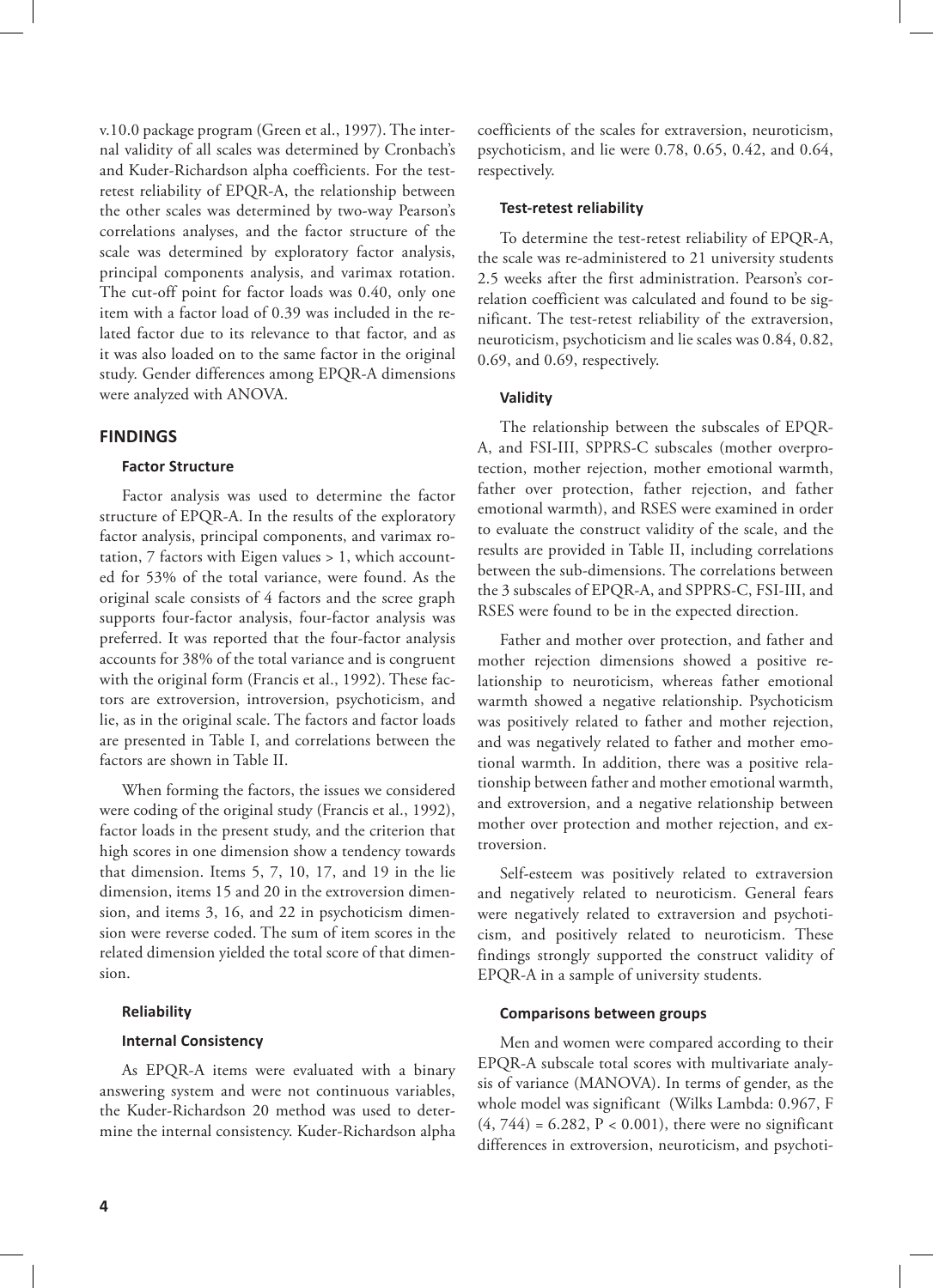v.10.0 package program (Green et al., 1997). The internal validity of all scales was determined by Cronbach's and Kuder-Richardson alpha coefficients. For the testretest reliability of EPQR-A, the relationship between the other scales was determined by two-way Pearson's correlations analyses, and the factor structure of the scale was determined by exploratory factor analysis, principal components analysis, and varimax rotation. The cut-off point for factor loads was 0.40, only one item with a factor load of 0.39 was included in the related factor due to its relevance to that factor, and as it was also loaded on to the same factor in the original study. Gender differences among EPQR-A dimensions were analyzed with ANOVA.

## **FINDINGS**

## **Factor Structure**

Factor analysis was used to determine the factor structure of EPQR-A. In the results of the exploratory factor analysis, principal components, and varimax rotation, 7 factors with Eigen values > 1, which accounted for 53% of the total variance, were found. As the original scale consists of 4 factors and the scree graph supports four-factor analysis, four-factor analysis was preferred. It was reported that the four-factor analysis accounts for 38% of the total variance and is congruent with the original form (Francis et al., 1992). These factors are extroversion, introversion, psychoticism, and lie, as in the original scale. The factors and factor loads are presented in Table I, and correlations between the factors are shown in Table II.

When forming the factors, the issues we considered were coding of the original study (Francis et al., 1992), factor loads in the present study, and the criterion that high scores in one dimension show a tendency towards that dimension. Items 5, 7, 10, 17, and 19 in the lie dimension, items 15 and 20 in the extroversion dimension, and items 3, 16, and 22 in psychoticism dimension were reverse coded. The sum of item scores in the related dimension yielded the total score of that dimension.

#### **Reliability**

## **Internal Consistency**

As EPQR-A items were evaluated with a binary answering system and were not continuous variables, the Kuder-Richardson 20 method was used to determine the internal consistency. Kuder-Richardson alpha coefficients of the scales for extraversion, neuroticism, psychoticism, and lie were 0.78, 0.65, 0.42, and 0.64, respectively.

#### **Test-retest reliability**

To determine the test-retest reliability of EPQR-A, the scale was re-administered to 21 university students 2.5 weeks after the first administration. Pearson's correlation coefficient was calculated and found to be significant. The test-retest reliability of the extraversion, neuroticism, psychoticism and lie scales was 0.84, 0.82, 0.69, and 0.69, respectively.

## **Validity**

The relationship between the subscales of EPQR-A, and FSI-III, SPPRS-C subscales (mother overprotection, mother rejection, mother emotional warmth, father over protection, father rejection, and father emotional warmth), and RSES were examined in order to evaluate the construct validity of the scale, and the results are provided in Table II, including correlations between the sub-dimensions. The correlations between the 3 subscales of EPQR-A, and SPPRS-C, FSI-III, and RSES were found to be in the expected direction.

Father and mother over protection, and father and mother rejection dimensions showed a positive relationship to neuroticism, whereas father emotional warmth showed a negative relationship. Psychoticism was positively related to father and mother rejection, and was negatively related to father and mother emotional warmth. In addition, there was a positive relationship between father and mother emotional warmth, and extroversion, and a negative relationship between mother over protection and mother rejection, and extroversion.

Self-esteem was positively related to extraversion and negatively related to neuroticism. General fears were negatively related to extraversion and psychoticism, and positively related to neuroticism. These findings strongly supported the construct validity of EPQR-A in a sample of university students.

## **Comparisons between groups**

Men and women were compared according to their EPQR-A subscale total scores with multivariate analysis of variance (MANOVA). In terms of gender, as the whole model was significant (Wilks Lambda: 0.967, F  $(4, 744) = 6.282$ ,  $P < 0.001$ ), there were no significant differences in extroversion, neuroticism, and psychoti-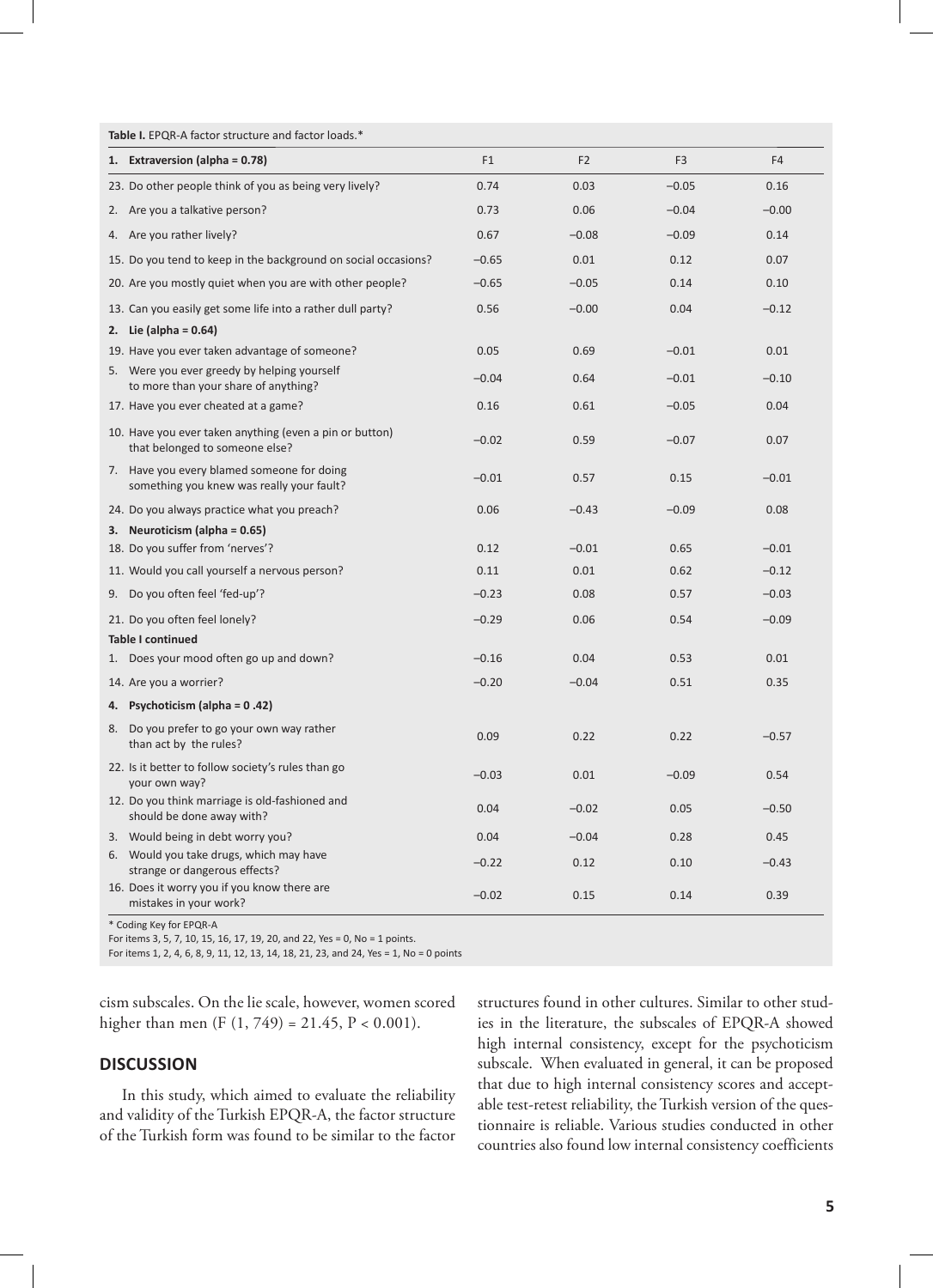| 1. Extraversion (alpha = 0.78)                                                            | F <sub>1</sub> | F <sub>2</sub> | F <sub>3</sub> | F <sub>4</sub> |
|-------------------------------------------------------------------------------------------|----------------|----------------|----------------|----------------|
| 23. Do other people think of you as being very lively?                                    | 0.74           | 0.03           | $-0.05$        | 0.16           |
| 2. Are you a talkative person?                                                            | 0.73           | 0.06           | $-0.04$        | $-0.00$        |
| 4. Are you rather lively?                                                                 | 0.67           | $-0.08$        | $-0.09$        | 0.14           |
| 15. Do you tend to keep in the background on social occasions?                            | $-0.65$        | 0.01           | 0.12           | 0.07           |
| 20. Are you mostly quiet when you are with other people?                                  | $-0.65$        | $-0.05$        | 0.14           | 0.10           |
| 13. Can you easily get some life into a rather dull party?                                | 0.56           | $-0.00$        | 0.04           | $-0.12$        |
| 2. Lie (alpha = $0.64$ )                                                                  |                |                |                |                |
| 19. Have you ever taken advantage of someone?                                             | 0.05           | 0.69           | $-0.01$        | 0.01           |
| 5. Were you ever greedy by helping yourself<br>to more than your share of anything?       | $-0.04$        | 0.64           | $-0.01$        | $-0.10$        |
| 17. Have you ever cheated at a game?                                                      | 0.16           | 0.61           | $-0.05$        | 0.04           |
| 10. Have you ever taken anything (even a pin or button)<br>that belonged to someone else? | $-0.02$        | 0.59           | $-0.07$        | 0.07           |
| 7. Have you every blamed someone for doing<br>something you knew was really your fault?   | $-0.01$        | 0.57           | 0.15           | $-0.01$        |
| 24. Do you always practice what you preach?                                               | 0.06           | $-0.43$        | $-0.09$        | 0.08           |
| 3. Neuroticism (alpha = 0.65)                                                             |                |                |                |                |
| 18. Do you suffer from 'nerves'?                                                          | 0.12           | $-0.01$        | 0.65           | $-0.01$        |
| 11. Would you call yourself a nervous person?                                             | 0.11           | 0.01           | 0.62           | $-0.12$        |
| 9. Do you often feel 'fed-up'?                                                            | $-0.23$        | 0.08           | 0.57           | $-0.03$        |
| 21. Do you often feel lonely?                                                             | $-0.29$        | 0.06           | 0.54           | $-0.09$        |
| <b>Table I continued</b>                                                                  |                |                |                |                |
| Does your mood often go up and down?<br>1.                                                | $-0.16$        | 0.04           | 0.53           | 0.01           |
| 14. Are you a worrier?                                                                    | $-0.20$        | $-0.04$        | 0.51           | 0.35           |
| 4. Psychoticism (alpha = 0.42)                                                            |                |                |                |                |
| 8. Do you prefer to go your own way rather<br>than act by the rules?                      | 0.09           | 0.22           | 0.22           | $-0.57$        |
| 22. Is it better to follow society's rules than go<br>your own way?                       | $-0.03$        | 0.01           | $-0.09$        | 0.54           |
| 12. Do you think marriage is old-fashioned and<br>should be done away with?               | 0.04           | $-0.02$        | 0.05           | $-0.50$        |
| 3. Would being in debt worry you?                                                         | 0.04           | $-0.04$        | 0.28           | 0.45           |
| 6. Would you take drugs, which may have<br>strange or dangerous effects?                  | $-0.22$        | 0.12           | 0.10           | $-0.43$        |
| 16. Does it worry you if you know there are<br>mistakes in your work?                     | $-0.02$        | 0.15           | 0.14           | 0.39           |

Table I. EDQR A.f.

\* Coding Key for EPQR-A

For items 3, 5, 7, 10, 15, 16, 17, 19, 20, and 22, Yes = 0, No = 1 points.

For items 1, 2, 4, 6, 8, 9, 11, 12, 13, 14, 18, 21, 23, and 24, Yes = 1, No = 0 points

cism subscales. On the lie scale, however, women scored higher than men (F  $(1, 749) = 21.45$ , P < 0.001).

## **DISCUSSION**

In this study, which aimed to evaluate the reliability and validity of the Turkish EPQR-A, the factor structure of the Turkish form was found to be similar to the factor structures found in other cultures. Similar to other studies in the literature, the subscales of EPQR-A showed high internal consistency, except for the psychoticism subscale. When evaluated in general, it can be proposed that due to high internal consistency scores and acceptable test-retest reliability, the Turkish version of the questionnaire is reliable. Various studies conducted in other countries also found low internal consistency coefficients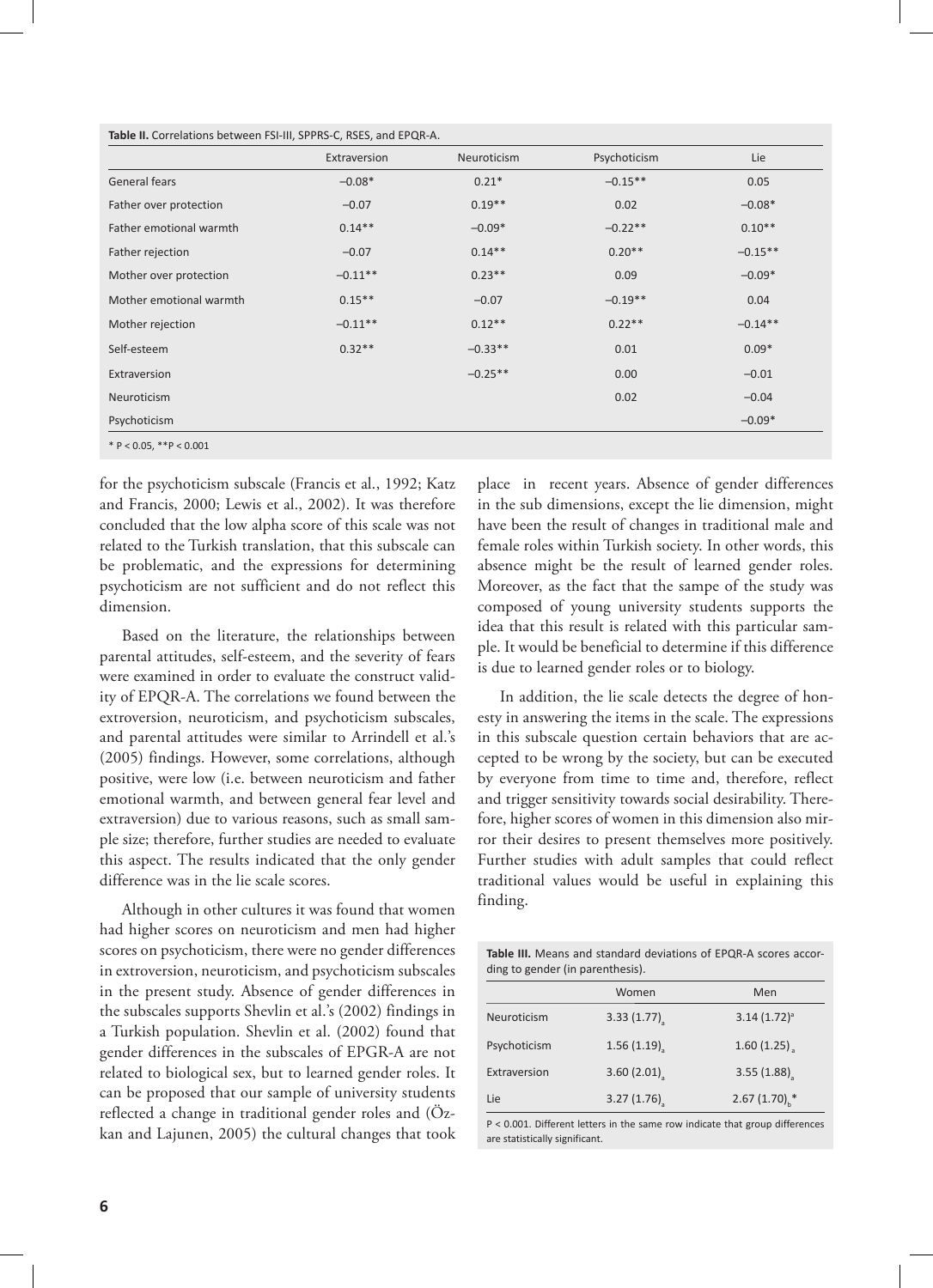| Table II. Correlations between FSI-III, SPPRS-C, RSES, and EPQR-A. |  |
|--------------------------------------------------------------------|--|
|--------------------------------------------------------------------|--|

|                         | Extraversion | Neuroticism | Psychoticism | Lie       |
|-------------------------|--------------|-------------|--------------|-----------|
| General fears           | $-0.08*$     | $0.21*$     | $-0.15**$    | 0.05      |
| Father over protection  | $-0.07$      | $0.19**$    | 0.02         | $-0.08*$  |
| Father emotional warmth | $0.14**$     | $-0.09*$    | $-0.22**$    | $0.10**$  |
| Father rejection        | $-0.07$      | $0.14***$   | $0.20**$     | $-0.15**$ |
| Mother over protection  | $-0.11**$    | $0.23**$    | 0.09         | $-0.09*$  |
| Mother emotional warmth | $0.15**$     | $-0.07$     | $-0.19**$    | 0.04      |
| Mother rejection        | $-0.11**$    | $0.12**$    | $0.22**$     | $-0.14**$ |
| Self-esteem             | $0.32**$     | $-0.33**$   | 0.01         | $0.09*$   |
| Extraversion            |              | $-0.25**$   | 0.00         | $-0.01$   |
| Neuroticism             |              |             | 0.02         | $-0.04$   |
| Psychoticism            |              |             |              | $-0.09*$  |

for the psychoticism subscale (Francis et al., 1992; Katz and Francis, 2000; Lewis et al., 2002). It was therefore concluded that the low alpha score of this scale was not related to the Turkish translation, that this subscale can be problematic, and the expressions for determining psychoticism are not sufficient and do not reflect this dimension.

Based on the literature, the relationships between parental attitudes, self-esteem, and the severity of fears were examined in order to evaluate the construct validity of EPQR-A. The correlations we found between the extroversion, neuroticism, and psychoticism subscales, and parental attitudes were similar to Arrindell et al.'s (2005) findings. However, some correlations, although positive, were low (i.e. between neuroticism and father emotional warmth, and between general fear level and extraversion) due to various reasons, such as small sample size; therefore, further studies are needed to evaluate this aspect. The results indicated that the only gender difference was in the lie scale scores.

Although in other cultures it was found that women had higher scores on neuroticism and men had higher scores on psychoticism, there were no gender differences in extroversion, neuroticism, and psychoticism subscales in the present study. Absence of gender differences in the subscales supports Shevlin et al.'s (2002) findings in a Turkish population. Shevlin et al. (2002) found that gender differences in the subscales of EPGR-A are not related to biological sex, but to learned gender roles. It can be proposed that our sample of university students reflected a change in traditional gender roles and (Özkan and Lajunen, 2005) the cultural changes that took

place in recent years. Absence of gender differences in the sub dimensions, except the lie dimension, might have been the result of changes in traditional male and female roles within Turkish society. In other words, this absence might be the result of learned gender roles. Moreover, as the fact that the sampe of the study was composed of young university students supports the idea that this result is related with this particular sample. It would be beneficial to determine if this difference is due to learned gender roles or to biology.

In addition, the lie scale detects the degree of honesty in answering the items in the scale. The expressions in this subscale question certain behaviors that are accepted to be wrong by the society, but can be executed by everyone from time to time and, therefore, reflect and trigger sensitivity towards social desirability. Therefore, higher scores of women in this dimension also mirror their desires to present themselves more positively. Further studies with adult samples that could reflect traditional values would be useful in explaining this finding.

**Table III.** Means and standard deviations of EPQR-A scores according to gender (in parenthesis).

|              | Women      | Men                        |
|--------------|------------|----------------------------|
| Neuroticism  | 3.33(1.77) | $3.14(1.72)^a$             |
| Psychoticism | 1.56(1.19) | 1.60(1.25)                 |
| Extraversion | 3.60(2.01) | 3.55(1.88)                 |
| Lie          | 3.27(1.76) | 2.67 $(1.70)$ <sup>*</sup> |

P < 0.001. Different letters in the same row indicate that group differences are statistically significant.